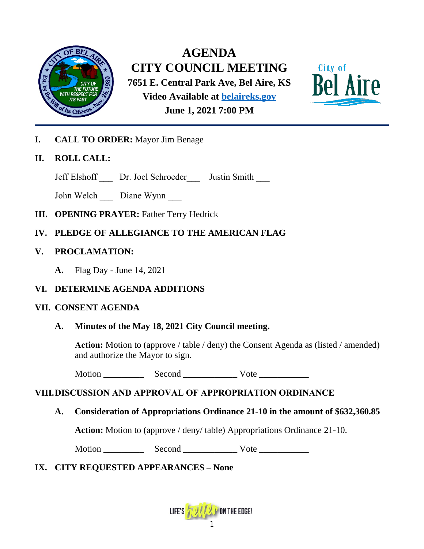

**AGENDA CITY COUNCIL MEETING 7651 E. Central Park Ave, Bel Aire, KS Video Available at [belaireks.gov](http://www.belaireks.org/) June 1, 2021 7:00 PM**



**I. CALL TO ORDER:** Mayor Jim Benage

# **II. ROLL CALL:**

Jeff Elshoff \_\_\_ Dr. Joel Schroeder\_\_\_ Justin Smith \_\_\_

John Welch \_\_\_ Diane Wynn

- **III. OPENING PRAYER:** Father Terry Hedrick
- **IV. PLEDGE OF ALLEGIANCE TO THE AMERICAN FLAG**
- **V. PROCLAMATION:**
	- **A.** Flag Day June 14, 2021

# **VI. DETERMINE AGENDA ADDITIONS**

#### **VII. CONSENT AGENDA**

# **A. Minutes of the May 18, 2021 City Council meeting.**

**Action:** Motion to (approve / table / deny) the Consent Agenda as (listed / amended) and authorize the Mayor to sign.

Motion Second Vote

# **VIII.DISCUSSION AND APPROVAL OF APPROPRIATION ORDINANCE**

# **A. Consideration of Appropriations Ordinance 21-10 in the amount of \$632,360.85**

**Action:** Motion to (approve / deny/ table) Appropriations Ordinance 21-10.

Motion \_\_\_\_\_\_\_\_\_ Second \_\_\_\_\_\_\_\_\_\_\_\_ Vote \_\_\_\_\_\_\_\_\_\_\_

# **IX. CITY REQUESTED APPEARANCES – None**

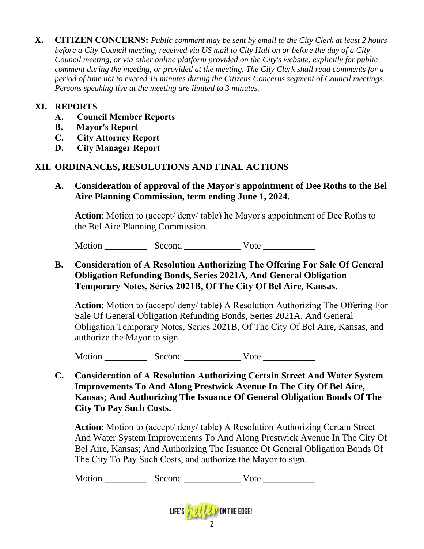**X. CITIZEN CONCERNS:** *Public comment may be sent by email to the City Clerk at least 2 hours before a City Council meeting, received via US mail to City Hall on or before the day of a City Council meeting, or via other online platform provided on the City's website, explicitly for public comment during the meeting, or provided at the meeting. The City Clerk shall read comments for a period of time not to exceed 15 minutes during the Citizens Concerns segment of Council meetings. Persons speaking live at the meeting are limited to 3 minutes.*

# **XI. REPORTS**

- **A. Council Member Reports**
- **B. Mayor's Report**
- **C. City Attorney Report**
- **D. City Manager Report**

# **XII. ORDINANCES, RESOLUTIONS AND FINAL ACTIONS**

**A. Consideration of approval of the Mayor's appointment of Dee Roths to the Bel Aire Planning Commission, term ending June 1, 2024.**

**Action**: Motion to (accept/ deny/ table) he Mayor's appointment of Dee Roths to the Bel Aire Planning Commission.

Motion Second Vote

# **B. Consideration of A Resolution Authorizing The Offering For Sale Of General Obligation Refunding Bonds, Series 2021A, And General Obligation Temporary Notes, Series 2021B, Of The City Of Bel Aire, Kansas.**

**Action**: Motion to (accept/ deny/ table) A Resolution Authorizing The Offering For Sale Of General Obligation Refunding Bonds, Series 2021A, And General Obligation Temporary Notes, Series 2021B, Of The City Of Bel Aire, Kansas, and authorize the Mayor to sign.

Motion \_\_\_\_\_\_\_\_\_ Second \_\_\_\_\_\_\_\_\_\_\_\_ Vote \_\_\_\_\_\_\_\_\_\_\_

**C. Consideration of A Resolution Authorizing Certain Street And Water System Improvements To And Along Prestwick Avenue In The City Of Bel Aire, Kansas; And Authorizing The Issuance Of General Obligation Bonds Of The City To Pay Such Costs.**

**Action**: Motion to (accept/ deny/ table) A Resolution Authorizing Certain Street And Water System Improvements To And Along Prestwick Avenue In The City Of Bel Aire, Kansas; And Authorizing The Issuance Of General Obligation Bonds Of The City To Pay Such Costs, and authorize the Mayor to sign.

Motion \_\_\_\_\_\_\_\_\_ Second \_\_\_\_\_\_\_\_\_\_\_\_ Vote \_\_\_\_\_\_\_\_\_\_\_

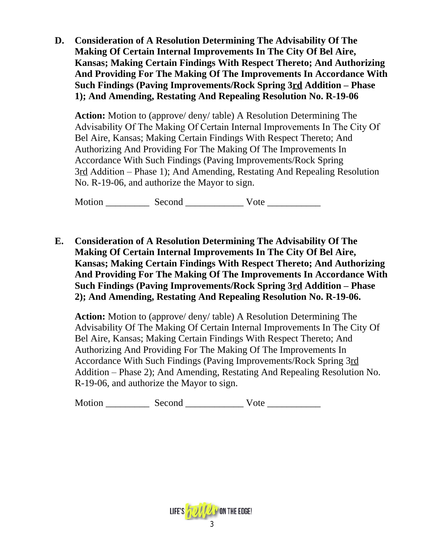**D. Consideration of A Resolution Determining The Advisability Of The Making Of Certain Internal Improvements In The City Of Bel Aire, Kansas; Making Certain Findings With Respect Thereto; And Authorizing And Providing For The Making Of The Improvements In Accordance With Such Findings (Paving Improvements/Rock Spring 3rd Addition – Phase 1); And Amending, Restating And Repealing Resolution No. R-19-06**

**Action:** Motion to (approve/ deny/ table) A Resolution Determining The Advisability Of The Making Of Certain Internal Improvements In The City Of Bel Aire, Kansas; Making Certain Findings With Respect Thereto; And Authorizing And Providing For The Making Of The Improvements In Accordance With Such Findings (Paving Improvements/Rock Spring 3rd Addition – Phase 1); And Amending, Restating And Repealing Resolution No. R-19-06, and authorize the Mayor to sign.

Motion Second Vote

**E. Consideration of A Resolution Determining The Advisability Of The Making Of Certain Internal Improvements In The City Of Bel Aire, Kansas; Making Certain Findings With Respect Thereto; And Authorizing And Providing For The Making Of The Improvements In Accordance With Such Findings (Paving Improvements/Rock Spring 3rd Addition – Phase 2); And Amending, Restating And Repealing Resolution No. R-19-06.**

**Action:** Motion to (approve/ deny/ table) A Resolution Determining The Advisability Of The Making Of Certain Internal Improvements In The City Of Bel Aire, Kansas; Making Certain Findings With Respect Thereto; And Authorizing And Providing For The Making Of The Improvements In Accordance With Such Findings (Paving Improvements/Rock Spring 3rd Addition – Phase 2); And Amending, Restating And Repealing Resolution No. R-19-06, and authorize the Mayor to sign.

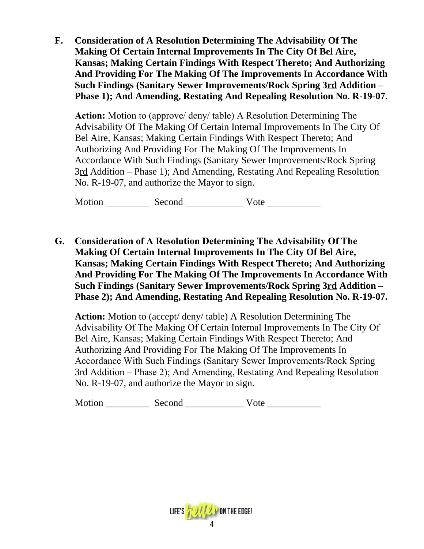**F. Consideration of A Resolution Determining The Advisability Of The Making Of Certain Internal Improvements In The City Of Bel Aire, Kansas; Making Certain Findings With Respect Thereto; And Authorizing And Providing For The Making Of The Improvements In Accordance With Such Findings (Sanitary Sewer Improvements/Rock Spring 3rd Addition – Phase 1); And Amending, Restating And Repealing Resolution No. R-19-07.**

**Action:** Motion to (approve/ deny/ table) A Resolution Determining The Advisability Of The Making Of Certain Internal Improvements In The City Of Bel Aire, Kansas; Making Certain Findings With Respect Thereto; And Authorizing And Providing For The Making Of The Improvements In Accordance With Such Findings (Sanitary Sewer Improvements/Rock Spring 3rd Addition – Phase 1); And Amending, Restating And Repealing Resolution No. R-19-07, and authorize the Mayor to sign.

Motion \_\_\_\_\_\_\_\_\_ Second \_\_\_\_\_\_\_\_\_\_\_\_ Vote \_\_\_\_\_\_\_\_\_\_\_

**G. Consideration of A Resolution Determining The Advisability Of The Making Of Certain Internal Improvements In The City Of Bel Aire, Kansas; Making Certain Findings With Respect Thereto; And Authorizing And Providing For The Making Of The Improvements In Accordance With Such Findings (Sanitary Sewer Improvements/Rock Spring 3rd Addition – Phase 2); And Amending, Restating And Repealing Resolution No. R-19-07.**

**Action:** Motion to (accept/ deny/ table) A Resolution Determining The Advisability Of The Making Of Certain Internal Improvements In The City Of Bel Aire, Kansas; Making Certain Findings With Respect Thereto; And Authorizing And Providing For The Making Of The Improvements In Accordance With Such Findings (Sanitary Sewer Improvements/Rock Spring 3rd Addition – Phase 2); And Amending, Restating And Repealing Resolution No. R-19-07, and authorize the Mayor to sign.

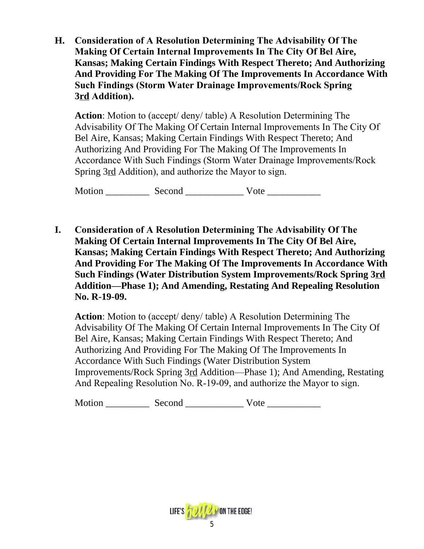**H. Consideration of A Resolution Determining The Advisability Of The Making Of Certain Internal Improvements In The City Of Bel Aire, Kansas; Making Certain Findings With Respect Thereto; And Authorizing And Providing For The Making Of The Improvements In Accordance With Such Findings (Storm Water Drainage Improvements/Rock Spring 3rd Addition).**

**Action**: Motion to (accept/ deny/ table) A Resolution Determining The Advisability Of The Making Of Certain Internal Improvements In The City Of Bel Aire, Kansas; Making Certain Findings With Respect Thereto; And Authorizing And Providing For The Making Of The Improvements In Accordance With Such Findings (Storm Water Drainage Improvements/Rock Spring 3rd Addition), and authorize the Mayor to sign.

Motion Second Vote **Second** 

**I. Consideration of A Resolution Determining The Advisability Of The Making Of Certain Internal Improvements In The City Of Bel Aire, Kansas; Making Certain Findings With Respect Thereto; And Authorizing And Providing For The Making Of The Improvements In Accordance With Such Findings (Water Distribution System Improvements/Rock Spring 3rd Addition—Phase 1); And Amending, Restating And Repealing Resolution No. R-19-09.**

**Action**: Motion to (accept/ deny/ table) A Resolution Determining The Advisability Of The Making Of Certain Internal Improvements In The City Of Bel Aire, Kansas; Making Certain Findings With Respect Thereto; And Authorizing And Providing For The Making Of The Improvements In Accordance With Such Findings (Water Distribution System Improvements/Rock Spring 3rd Addition—Phase 1); And Amending, Restating And Repealing Resolution No. R-19-09, and authorize the Mayor to sign.

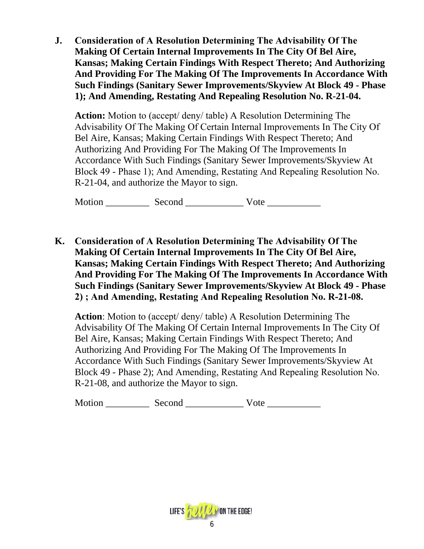**J. Consideration of A Resolution Determining The Advisability Of The Making Of Certain Internal Improvements In The City Of Bel Aire, Kansas; Making Certain Findings With Respect Thereto; And Authorizing And Providing For The Making Of The Improvements In Accordance With Such Findings (Sanitary Sewer Improvements/Skyview At Block 49 - Phase 1); And Amending, Restating And Repealing Resolution No. R-21-04.**

**Action:** Motion to (accept/ deny/ table) A Resolution Determining The Advisability Of The Making Of Certain Internal Improvements In The City Of Bel Aire, Kansas; Making Certain Findings With Respect Thereto; And Authorizing And Providing For The Making Of The Improvements In Accordance With Such Findings (Sanitary Sewer Improvements/Skyview At Block 49 - Phase 1); And Amending, Restating And Repealing Resolution No. R-21-04, and authorize the Mayor to sign.

Motion Second Vote

**K. Consideration of A Resolution Determining The Advisability Of The Making Of Certain Internal Improvements In The City Of Bel Aire, Kansas; Making Certain Findings With Respect Thereto; And Authorizing And Providing For The Making Of The Improvements In Accordance With Such Findings (Sanitary Sewer Improvements/Skyview At Block 49 - Phase 2) ; And Amending, Restating And Repealing Resolution No. R-21-08.**

**Action**: Motion to (accept/ deny/ table) A Resolution Determining The Advisability Of The Making Of Certain Internal Improvements In The City Of Bel Aire, Kansas; Making Certain Findings With Respect Thereto; And Authorizing And Providing For The Making Of The Improvements In Accordance With Such Findings (Sanitary Sewer Improvements/Skyview At Block 49 - Phase 2); And Amending, Restating And Repealing Resolution No. R-21-08, and authorize the Mayor to sign.

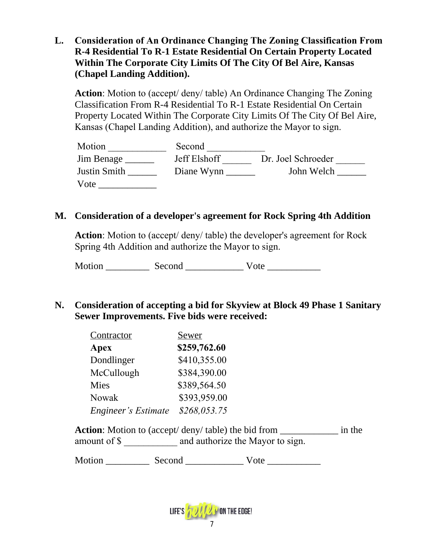**L. Consideration of An Ordinance Changing The Zoning Classification From R-4 Residential To R-1 Estate Residential On Certain Property Located Within The Corporate City Limits Of The City Of Bel Aire, Kansas (Chapel Landing Addition).**

**Action**: Motion to (accept/ deny/ table) An Ordinance Changing The Zoning Classification From R-4 Residential To R-1 Estate Residential On Certain Property Located Within The Corporate City Limits Of The City Of Bel Aire, Kansas (Chapel Landing Addition), and authorize the Mayor to sign.

| Motion              | Second       |                    |
|---------------------|--------------|--------------------|
| Jim Benage          | Jeff Elshoff | Dr. Joel Schroeder |
| <b>Justin Smith</b> | Diane Wynn   | John Welch         |
| Vote                |              |                    |

# **M. Consideration of a developer's agreement for Rock Spring 4th Addition**

**Action**: Motion to (accept/ deny/ table) the developer's agreement for Rock Spring 4th Addition and authorize the Mayor to sign.

Motion \_\_\_\_\_\_\_\_\_ Second \_\_\_\_\_\_\_\_\_\_\_\_ Vote \_\_\_\_\_\_\_\_\_\_\_

**N. Consideration of accepting a bid for Skyview at Block 49 Phase 1 Sanitary Sewer Improvements. Five bids were received:**

| Contractor                 | Sewer        |  |  |
|----------------------------|--------------|--|--|
| Apex                       | \$259,762.60 |  |  |
| Dondlinger                 | \$410,355.00 |  |  |
| McCullough                 | \$384,390.00 |  |  |
| Mies                       | \$389,564.50 |  |  |
| Nowak                      | \$393,959.00 |  |  |
| <b>Engineer's Estimate</b> | \$268,053.75 |  |  |

Action: Motion to (accept/ deny/ table) the bid from \_\_\_\_\_\_\_\_\_\_\_\_\_\_ in the amount of \$ \_\_\_\_\_\_\_\_\_\_\_ and authorize the Mayor to sign.

| M<br>ำ∩ท | חר |  |  |  |
|----------|----|--|--|--|
|----------|----|--|--|--|

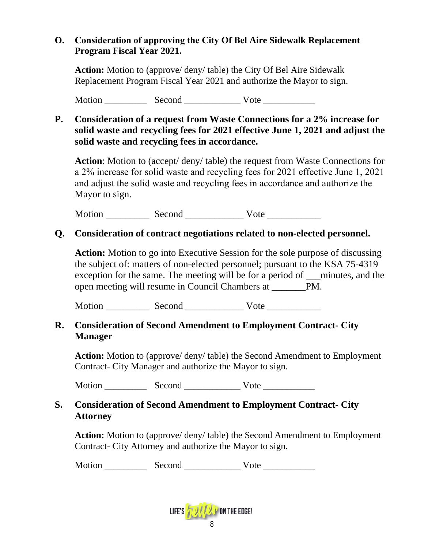# **O. Consideration of approving the City Of Bel Aire Sidewalk Replacement Program Fiscal Year 2021.**

**Action:** Motion to (approve/ deny/ table) the City Of Bel Aire Sidewalk Replacement Program Fiscal Year 2021 and authorize the Mayor to sign.

Motion Second Vote

# **P. Consideration of a request from Waste Connections for a 2% increase for solid waste and recycling fees for 2021 effective June 1, 2021 and adjust the solid waste and recycling fees in accordance.**

**Action**: Motion to (accept/ deny/ table) the request from Waste Connections for a 2% increase for solid waste and recycling fees for 2021 effective June 1, 2021 and adjust the solid waste and recycling fees in accordance and authorize the Mayor to sign.

Motion \_\_\_\_\_\_\_\_\_ Second \_\_\_\_\_\_\_\_\_\_\_\_ Vote \_\_\_\_\_\_\_\_\_\_\_

# **Q. Consideration of contract negotiations related to non-elected personnel.**

**Action:** Motion to go into Executive Session for the sole purpose of discussing the subject of: matters of non-elected personnel; pursuant to the KSA 75-4319 exception for the same. The meeting will be for a period of <u>minutes</u>, and the open meeting will resume in Council Chambers at \_\_\_\_\_\_\_PM.

Motion Second Vote

# **R. Consideration of Second Amendment to Employment Contract- City Manager**

**Action:** Motion to (approve/ deny/ table) the Second Amendment to Employment Contract- City Manager and authorize the Mayor to sign.

Motion Second Vote **Latter Second** 

# **S. Consideration of Second Amendment to Employment Contract- City Attorney**

**Action:** Motion to (approve/ deny/ table) the Second Amendment to Employment Contract- City Attorney and authorize the Mayor to sign.

Motion Second Vote **Later Second**